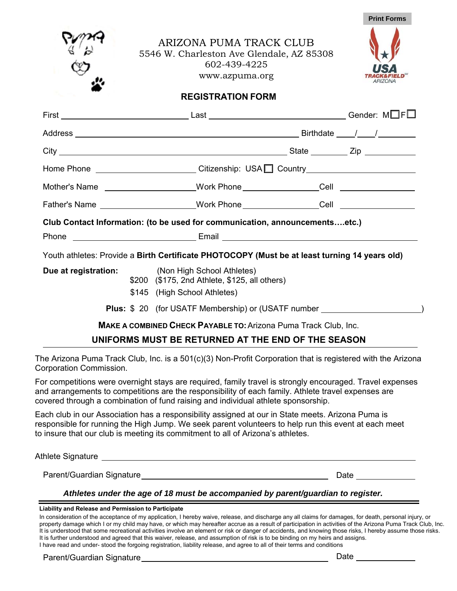**Print Forms** 

 $\Box$